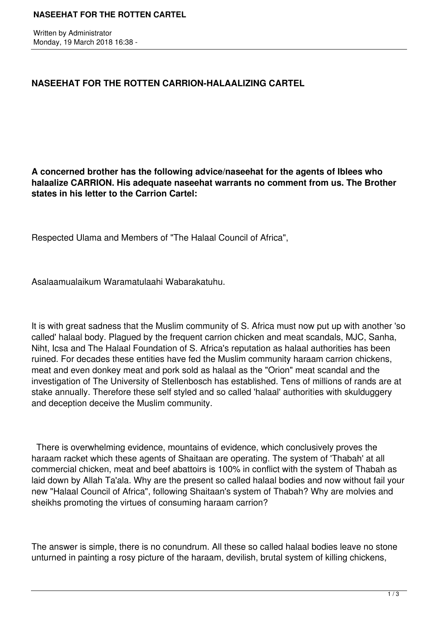Written by Administrator Monday, 19 March 2018 16:38 -

## **NASEEHAT FOR THE ROTTEN CARRION-HALAALIZING CARTEL**

**A concerned brother has the following advice/naseehat for the agents of Iblees who halaalize CARRION. His adequate naseehat warrants no comment from us. The Brother states in his letter to the Carrion Cartel:**

Respected Ulama and Members of "The Halaal Council of Africa",

Asalaamualaikum Waramatulaahi Wabarakatuhu.

It is with great sadness that the Muslim community of S. Africa must now put up with another 'so called' halaal body. Plagued by the frequent carrion chicken and meat scandals, MJC, Sanha, Niht, Icsa and The Halaal Foundation of S. Africa's reputation as halaal authorities has been ruined. For decades these entities have fed the Muslim community haraam carrion chickens, meat and even donkey meat and pork sold as halaal as the "Orion" meat scandal and the investigation of The University of Stellenbosch has established. Tens of millions of rands are at stake annually. Therefore these self styled and so called 'halaal' authorities with skulduggery and deception deceive the Muslim community.

 There is overwhelming evidence, mountains of evidence, which conclusively proves the haraam racket which these agents of Shaitaan are operating. The system of 'Thabah' at all commercial chicken, meat and beef abattoirs is 100% in conflict with the system of Thabah as laid down by Allah Ta'ala. Why are the present so called halaal bodies and now without fail your new "Halaal Council of Africa", following Shaitaan's system of Thabah? Why are molvies and sheikhs promoting the virtues of consuming haraam carrion?

The answer is simple, there is no conundrum. All these so called halaal bodies leave no stone unturned in painting a rosy picture of the haraam, devilish, brutal system of killing chickens,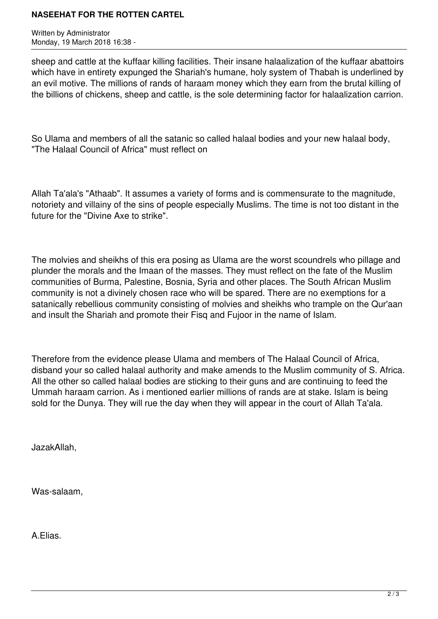## **NASEEHAT FOR THE ROTTEN CARTEL**

Written by Administrator Monday, 19 March 2018 16:38 -

sheep and cattle at the kuffaar killing facilities. Their insane halaalization of the kuffaar abattoirs which have in entirety expunged the Shariah's humane, holy system of Thabah is underlined by an evil motive. The millions of rands of haraam money which they earn from the brutal killing of the billions of chickens, sheep and cattle, is the sole determining factor for halaalization carrion.

So Ulama and members of all the satanic so called halaal bodies and your new halaal body, "The Halaal Council of Africa" must reflect on

Allah Ta'ala's "Athaab". It assumes a variety of forms and is commensurate to the magnitude, notoriety and villainy of the sins of people especially Muslims. The time is not too distant in the future for the "Divine Axe to strike".

The molvies and sheikhs of this era posing as Ulama are the worst scoundrels who pillage and plunder the morals and the Imaan of the masses. They must reflect on the fate of the Muslim communities of Burma, Palestine, Bosnia, Syria and other places. The South African Muslim community is not a divinely chosen race who will be spared. There are no exemptions for a satanically rebellious community consisting of molvies and sheikhs who trample on the Qur'aan and insult the Shariah and promote their Fisq and Fujoor in the name of Islam.

Therefore from the evidence please Ulama and members of The Halaal Council of Africa, disband your so called halaal authority and make amends to the Muslim community of S. Africa. All the other so called halaal bodies are sticking to their guns and are continuing to feed the Ummah haraam carrion. As i mentioned earlier millions of rands are at stake. Islam is being sold for the Dunya. They will rue the day when they will appear in the court of Allah Ta'ala.

JazakAllah,

Was-salaam,

A.Elias.